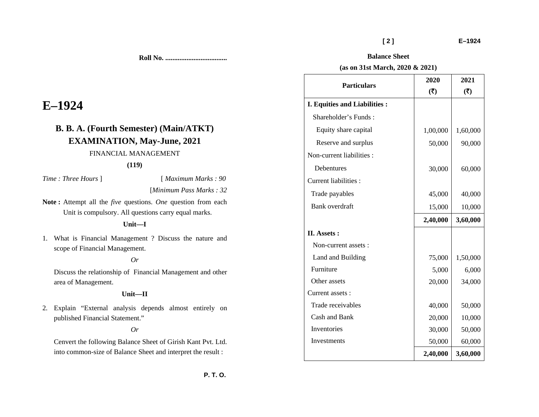**Particulars** 

**I. Equities and Liabilities :**  Shareholder's Funds :

Non-current liabilities :

Non-current assets :

Current liabilities :

**II. Assets :** 

Current assets :

**Balance Sheet (as on 31st March, 2020 & 2021)** 

Equity share capital  $1,00,000 \mid 1,60,000$ Reserve and surplus  $\begin{array}{|c|c|c|c|c|} \hline 50,000 & 90,000 \\\hline \end{array}$ 

Debentures 30,000 60,000

Trade payables 1 45,000 40,000 Bank overdraft 15,000 10,000

Land and Building 15,000 1,50,000 Furniture 5,000 6,000 Other assets 20,000 34,000

Trade receivables  $\vert$  40,000 50,000 Cash and Bank 20,000 | 10,000 Inventories 100,000 50,000 50,000 Investments 1 50,000 60,000

 **[ 2 ] E–1924** 

**2021**  $(5)$ 

**2,40,000 3,60,000**

**2,40,000 3,60,000**

**2020 (**`**)** 

**Roll No. ...................................** 

# **E–1924**

## **B. B. A. (Fourth Semester) (Main/ATKT) EXAMINATION, May-June, 2021** FINANCIAL MANAGEMENT

#### **(119)**

*Time : Three Hours* ] [ *Maximum Marks : 90* 

[*Minimum Pass Marks : 32* 

**Note :** Attempt all the *five* questions. *One* question from each Unit is compulsory. All questions carry equal marks.

#### **Unit—I**

1. What is Financial Management ? Discuss the nature and scope of Financial Management.

#### *Or*

Discuss the relationship of Financial Management and other area of Management.

#### **Unit—II**

2. Explain "External analysis depends almost entirely on published Financial Statement."

#### *Or*

Cenvert the following Balance Sheet of Girish Kant Pvt. Ltd. into common-size of Balance Sheet and interpret the result :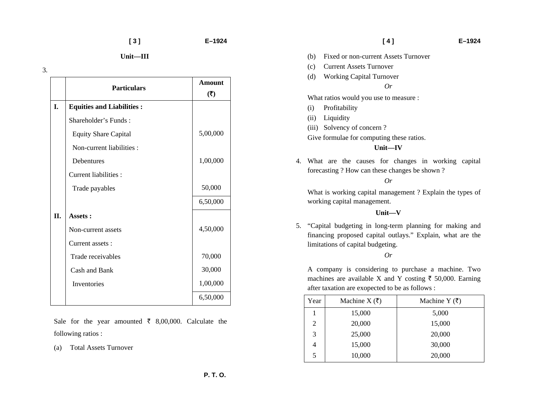3.

|    | <b>Particulars</b>               | <b>Amount</b><br>(5) |
|----|----------------------------------|----------------------|
| I. | <b>Equities and Liabilities:</b> |                      |
|    | Shareholder's Funds:             |                      |
|    | <b>Equity Share Capital</b>      | 5,00,000             |
|    | Non-current liabilities :        |                      |
|    | <b>Debentures</b>                | 1,00,000             |
|    | <b>Current liabilities:</b>      |                      |
|    | Trade payables                   | 50,000               |
|    |                                  | 6,50,000             |
| Π. | Assets:                          |                      |
|    | Non-current assets               | 4,50,000             |
|    | Current assets:                  |                      |
|    | Trade receivables                | 70,000               |
|    | Cash and Bank                    | 30,000               |
|    | Inventories                      | 1,00,000             |
|    |                                  | 6,50,000             |

Sale for the year amounted  $\bar{\tau}$  8,00,000. Calculate the following ratios :

(a) Total Assets Turnover

#### **[ 4 ] E–1924**

- (b) Fixed or non-current Assets Turnover
- (c) Current Assets Turnover
- (d) Working Capital Turnover

### *Or*

What ratios would you use to measure :

- (i) Profitability
- (ii) Liquidity
- (iii) Solvency of concern ?
- Give formulae for computing these ratios.

#### **Unit—IV**

4. What are the causes for changes in working capital forecasting ? How can these changes be shown ?

*Or* 

What is working capital management ? Explain the types of working capital management.

#### **Unit—V**

5. "Capital budgeting in long-term planning for making and financing proposed capital outlays." Explain, what are the limitations of capital budgeting.

#### *Or*

A company is considering to purchase a machine. Two machines are available X and Y costing  $\bar{\tau}$  50,000. Earning after taxation are exopected to be as follows :

| Year | Machine X $(\bar{\zeta})$ | Machine Y $(\bar{\zeta})$ |
|------|---------------------------|---------------------------|
|      | 15,000                    | 5,000                     |
| 2    | 20,000                    | 15,000                    |
| 3    | 25,000                    | 20,000                    |
|      | 15,000                    | 30,000                    |
| 5    | 10,000                    | 20,000                    |